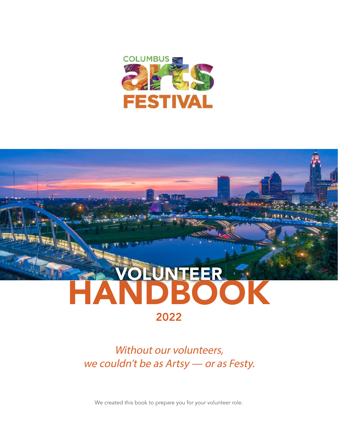



Without our volunteers, we couldn't be as Artsy - or as Festy.

We created this book to prepare you for your volunteer role.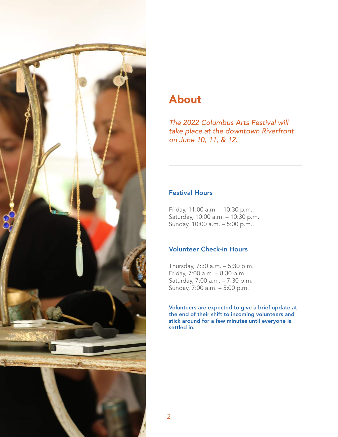

# About

The 2022 Columbus Arts Festival will take place at the downtown Riverfront on June 10, 11, & 12.

# Festival Hours

Friday, 11:00 a.m. – 10:30 p.m. Saturday, 10:00 a.m. – 10:30 p.m. Sunday, 10:00 a.m. – 5:00 p.m.

# Volunteer Check-in Hours

Thursday, 7:30 a.m. – 5:30 p.m. Friday, 7:00 a.m. – 8:30 p.m. Saturday, 7:00 a.m. – 7:30 p.m. Sunday, 7:00 a.m. – 5:00 p.m.

Volunteers are expected to give a brief update at the end of their shift to incoming volunteers and stick around for a few minutes until everyone is settled in.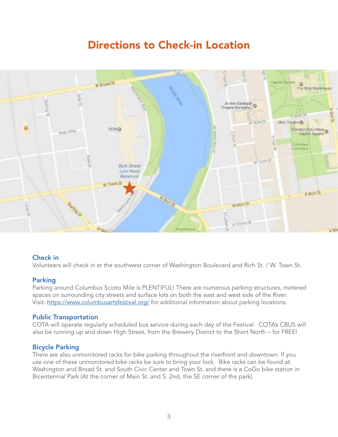# Directions to Check-in Location



# Check in

Volunteers will check in at the southwest corner of Washington Boulevard and Rich St. / W. Town St.

# **Parking**

Parking around Columbus Scioto Mile is PLENTIFUL! There are numerous parking structures, metered spaces on surrounding city streets and surface lots on both the east and west side of the River. Visit: https://www.columbusartsfestival.org/ for additional information about parking locations.

# Public Transportation

COTA will operate regularly scheduled bus service during each day of the Festival. COTA's CBUS will also be running up and down High Street, from the Brewery District to the Short North – for FREE!

# Bicycle Parking

There are also unmonitored racks for bike parking throughout the riverfront and downtown. If you use one of these unmonitored bike racks be sure to bring your lock. Bike racks can be found at: Washington and Broad St. and South Civic Center and Town St. and there is a CoGo bike station in Bicentennial Park (At the corner of Main St. and S. 2nd, the SE corner of the park).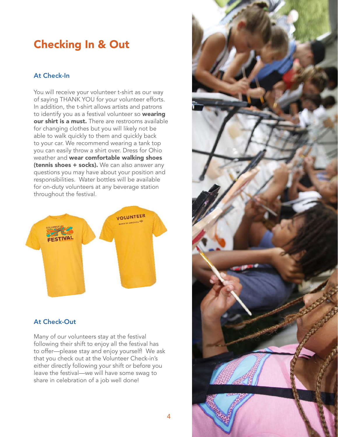# Checking In & Out

# At Check-In

You will receive your volunteer t-shirt as our way of saying THANK YOU for your volunteer efforts. In addition, the t-shirt allows artists and patrons to identify you as a festival volunteer so wearing our shirt is a must. There are restrooms available for changing clothes but you will likely not be able to walk quickly to them and quickly back to your car. We recommend wearing a tank top you can easily throw a shirt over. Dress for Ohio weather and wear comfortable walking shoes (tennis shoes + socks). We can also answer any questions you may have about your position and responsibilities. Water bottles will be available for on-duty volunteers at any beverage station throughout the festival.



# At Check-Out

Many of our volunteers stay at the festival following their shift to enjoy all the festival has to offer—please stay and enjoy yourself! We ask that you check out at the Volunteer Check-in's either directly following your shift or before you leave the festival—we will have some swag to share in celebration of a job well done!

4

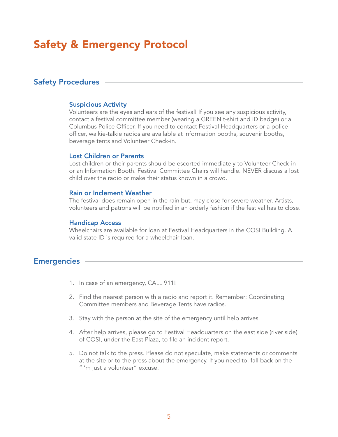# Safety & Emergency Protocol

# Safety Procedures

### Suspicious Activity

Volunteers are the eyes and ears of the festival! If you see any suspicious activity, contact a festival committee member (wearing a GREEN t-shirt and ID badge) or a Columbus Police Officer. If you need to contact Festival Headquarters or a police officer, walkie-talkie radios are available at information booths, souvenir booths, beverage tents and Volunteer Check-in.

### Lost Children or Parents

Lost children or their parents should be escorted immediately to Volunteer Check-in or an Information Booth. Festival Committee Chairs will handle. NEVER discuss a lost child over the radio or make their status known in a crowd.

#### Rain or Inclement Weather

The festival does remain open in the rain but, may close for severe weather. Artists, volunteers and patrons will be notified in an orderly fashion if the festival has to close.

#### Handicap Access

Wheelchairs are available for loan at Festival Headquarters in the COSI Building. A valid state ID is required for a wheelchair loan.

# **Emergencies**

- 1. In case of an emergency, CALL 911!
- 2. Find the nearest person with a radio and report it. Remember: Coordinating Committee members and Beverage Tents have radios.
- 3. Stay with the person at the site of the emergency until help arrives.
- 4. After help arrives, please go to Festival Headquarters on the east side (river side) of COSI, under the East Plaza, to file an incident report.
- 5. Do not talk to the press. Please do not speculate, make statements or comments at the site or to the press about the emergency. If you need to, fall back on the "I'm just a volunteer" excuse.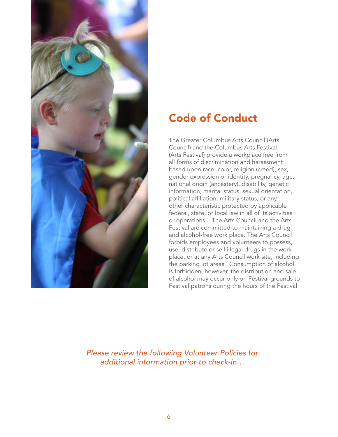

# Code of Conduct

The Greater Columbus Arts Council (Arts Council) and the Columbus Arts Festival (Arts Festival) provide a workplace free from all forms of discrimination and harassment based upon race, color, religion (creed), sex, gender expression or identity, pregnancy, age, national origin (ancestery), disability, genetic information, marital status, sexual orientation, political affiliation, military status, or any other characteristic protected by applicable federal, state, or local law in all of its activities or operations. The Arts Council and the Arts Festival are committed to maintaining a drug and alcohol-free work place. The Arts Council forbids employees and volunteers to possess, use, distribute or sell illegal drugs in the work place, or at any Arts Council work site, including the parking lot areas. Consumption of alcohol is forbidden, however, the distribution and sale of alcohol may occur only on Festival grounds to Festival patrons during the hours of the Festival.

Please review the following Volunteer Policies for additional information prior to check-in…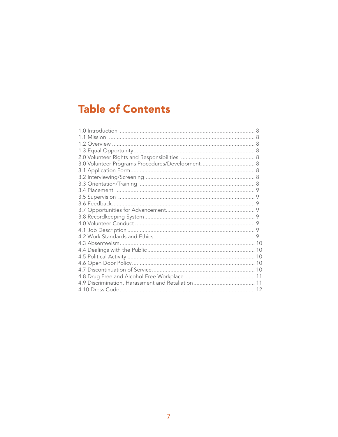# **Table of Contents**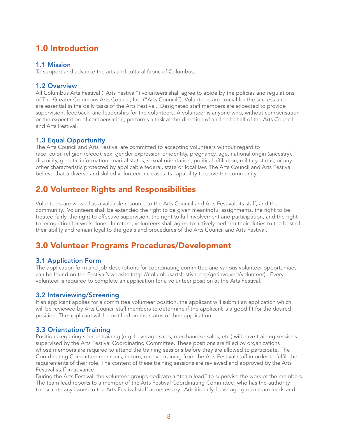# 1.0 Introduction

### 1.1 Mission

To support and advance the arts and cultural fabric of Columbus.

### 1.2 Overview

All Columbus Arts Festival ("Arts Festival") volunteers shall agree to abide by the policies and regulations of The Greater Columbus Arts Council, Inc. ("Arts Council"). Volunteers are crucial for the success and are essential in the daily tasks of the Arts Festival. Designated staff members are expected to provide supervision, feedback, and leadership for the volunteers. A volunteer is anyone who, without compensation or the expectation of compensation, performs a task at the direction of and on behalf of the Arts Council and Arts Festival.

# 1.3 Equal Opportunity

The Arts Council and Arts Festival are committed to accepting volunteers without regard to race, color, religion (creed), sex, gender expression or identity, pregnancy, age, national origin (ancestry), disability, genetic information, marital status, sexual orientation, political affiliation, military status, or any other characteristic protected by applicable federal, state or local law. The Arts Council and Arts Festival believe that a diverse and skilled volunteer increases its capability to serve the community.

# 2.0 Volunteer Rights and Responsibilities

Volunteers are viewed as a valuable resource to the Arts Council and Arts Festival, its staff, and the community. Volunteers shall be extended the right to be given meaningful assignments, the right to be treated fairly, the right to effective supervision, the right to full involvement and participation, and the right to recognition for work done. In return, volunteers shall agree to actively perform their duties to the best of their ability and remain loyal to the goals and procedures of the Arts Council and Arts Festival.

# 3.0 Volunteer Programs Procedures/Development

# 3.1 Application Form

The application form and job descriptions for coordinating committee and various volunteer opportunities can be found on the Festival's website (http://columbusartsfestival.org/getinvolved/volunteer). Every volunteer is required to complete an application for a volunteer position at the Arts Festival.

### 3.2 Interviewing/Screening

If an applicant applies for a committee volunteer position, the applicant will submit an application which will be reviewed by Arts Council staff members to determine if the applicant is a good fit for the desired position. The applicant will be notified on the status of their application.

# 3.3 Orientation/Training

Positions requiring special training (e.g. beverage sales, merchandise sales, etc.) will have training sessions supervised by the Arts Festival Coordinating Committee. These positions are filled by organizations whose members are required to attend the training sessions before they are allowed to participate. The Coordinating Committee members, in turn, receive training from the Arts Festival staff in order to fulfill the requirements of their role. The content of these training sessions are reviewed and approved by the Arts Festival staff in advance.

During the Arts Festival, the volunteer groups dedicate a "team lead" to supervise the work of the members. The team lead reports to a member of the Arts Festival Coordinating Committee, who has the authority to escalate any issues to the Arts Festival staff as necessary. Additionally, beverage group team leads and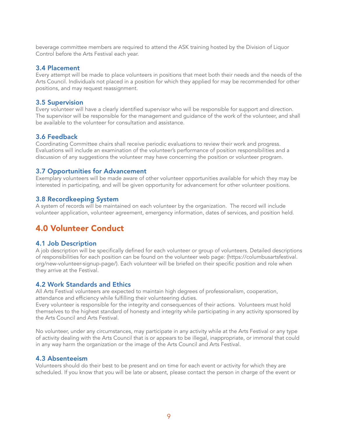beverage committee members are required to attend the ASK training hosted by the Division of Liquor Control before the Arts Festival each year.

### 3.4 Placement

Every attempt will be made to place volunteers in positions that meet both their needs and the needs of the Arts Council. Individuals not placed in a position for which they applied for may be recommended for other positions, and may request reassignment.

### 3.5 Supervision

Every volunteer will have a clearly identified supervisor who will be responsible for support and direction. The supervisor will be responsible for the management and guidance of the work of the volunteer, and shall be available to the volunteer for consultation and assistance.

### 3.6 Feedback

Coordinating Committee chairs shall receive periodic evaluations to review their work and progress. Evaluations will include an examination of the volunteer's performance of position responsibilities and a discussion of any suggestions the volunteer may have concerning the position or volunteer program.

### 3.7 Opportunities for Advancement

Exemplary volunteers will be made aware of other volunteer opportunities available for which they may be interested in participating, and will be given opportunity for advancement for other volunteer positions.

### 3.8 Recordkeeping System

A system of records will be maintained on each volunteer by the organization. The record will include volunteer application, volunteer agreement, emergency information, dates of services, and position held.

# 4.0 Volunteer Conduct

### 4.1 Job Description

A job description will be specifically defined for each volunteer or group of volunteers. Detailed descriptions of responsibilities for each position can be found on the volunteer web page: (https://columbusartsfestival. org/new-volunteer-signup-page/). Each volunteer will be briefed on their specific position and role when they arrive at the Festival.

### 4.2 Work Standards and Ethics

All Arts Festival volunteers are expected to maintain high degrees of professionalism, cooperation, attendance and efficiency while fulfilling their volunteering duties.

Every volunteer is responsible for the integrity and consequences of their actions. Volunteers must hold themselves to the highest standard of honesty and integrity while participating in any activity sponsored by the Arts Council and Arts Festival.

No volunteer, under any circumstances, may participate in any activity while at the Arts Festival or any type of activity dealing with the Arts Council that is or appears to be illegal, inappropriate, or immoral that could in any way harm the organization or the image of the Arts Council and Arts Festival.

#### 4.3 Absenteeism

Volunteers should do their best to be present and on time for each event or activity for which they are scheduled. If you know that you will be late or absent, please contact the person in charge of the event or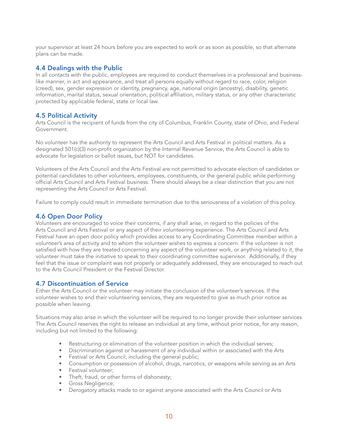your supervisor at least 24 hours before you are expected to work or as soon as possible, so that alternate plans can be made.

### 4.4 Dealings with the Public

In all contacts with the public, employees are required to conduct themselves in a professional and businesslike manner, in act and appearance, and treat all persons equally without regard to race, color, religion (creed), sex, gender expression or identity, pregnancy, age, national origin (ancestry), disability, genetic information, marital status, sexual orientation, political affiliation, military status, or any other characteristic protected by applicable federal, state or local law.

# 4.5 Political Activity

Arts Council is the recipient of funds from the city of Columbus, Franklin County, state of Ohio, and Federal Government.

No volunteer has the authority to represent the Arts Council and Arts Festival in political matters. As a designated 501(c)(3) non-profit organization by the Internal Revenue Service, the Arts Council is able to advocate for legislation or ballot issues, but NOT for candidates.

Volunteers of the Arts Council and the Arts Festival are not permitted to advocate election of candidates or potential candidates to other volunteers, employees, constituents, or the general public while performing official Arts Council and Arts Festival business. There should always be a clear distinction that you are not representing the Arts Council or Arts Festival.

Failure to comply could result in immediate termination due to the seriousness of a violation of this policy.

# 4.6 Open Door Policy

Volunteers are encouraged to voice their concerns, if any shall arise, in regard to the policies of the Arts Council and Arts Festival or any aspect of their volunteering experience. The Arts Council and Arts Festival have an open door policy which provides access to any Coordinating Committee member within a volunteer's area of activity and to whom the volunteer wishes to express a concern. If the volunteer is not satisfied with how they are treated concerning any aspect of the volunteer work, or anything related to it, the volunteer must take the initiative to speak to their coordinating committee supervisor. Additionally, if they feel that the issue or complaint was not properly or adequately addressed, they are encouraged to reach out to the Arts Council President or the Festival Director.

### 4.7 Discontinuation of Service

Either the Arts Council or the volunteer may initiate the conclusion of the volunteer's services. If the volunteer wishes to end their volunteering services, they are requested to give as much prior notice as possible when leaving.

Situations may also arise in which the volunteer will be required to no longer provide their volunteer services. The Arts Council reserves the right to release an individual at any time, without prior notice, for any reason, including but not limited to the following:

- Restructuring or elimination of the volunteer position in which the individual serves;
- Discrimination against or harassment of any individual within or associated with the Arts
- Festival or Arts Council, including the general public;
- Consumption or possession of alcohol, drugs, narcotics, or weapons while serving as an Arts
- Festival volunteer;
- Theft, fraud, or other forms of dishonesty;
- Gross Negligence;
- Derogatory attacks made to or against anyone associated with the Arts Council or Arts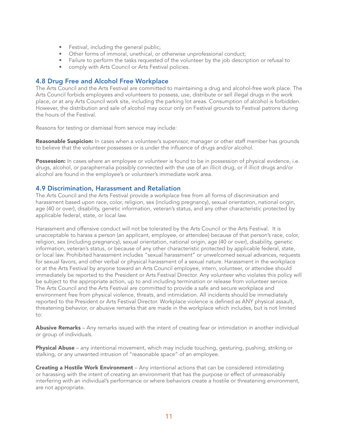- Festival, including the general public;
- Other forms of immoral, unethical, or otherwise unprofessional conduct;
- Failure to perform the tasks requested of the volunteer by the job description or refusal to
- comply with Arts Council or Arts Festival policies.

### 4.8 Drug Free and Alcohol Free Workplace

The Arts Council and the Arts Festival are committed to maintaining a drug and alcohol-free work place. The Arts Council forbids employees and volunteers to possess, use, distribute or sell illegal drugs in the work place, or at any Arts Council work site, including the parking lot areas. Consumption of alcohol is forbidden. However, the distribution and sale of alcohol may occur only on Festival grounds to Festival patrons during the hours of the Festival.

Reasons for testing or dismissal from service may include:

Reasonable Suspicion: In cases when a volunteer's supervisor, manager or other staff member has grounds to believe that the volunteer possesses or is under the influence of drugs and/or alcohol.

Possession: In cases where an employee or volunteer is found to be in possession of physical evidence, i.e. drugs, alcohol, or paraphernalia possibly connected with the use of an illicit drug, or if illicit drugs and/or alcohol are found in the employee's or volunteer's immediate work area.

### 4.9 Discrimination, Harassment and Retaliation

The Arts Council and the Arts Festival provide a workplace free from all forms of discrimination and harassment based upon race, color, religion, sex (including pregnancy), sexual orientation, national origin, age (40 or over), disability, genetic information, veteran's status, and any other characteristic protected by applicable federal, state, or local law.

Harassment and offensive conduct will not be tolerated by the Arts Council or the Arts Festival. It is unacceptable to harass a person (an applicant, employee, or attendee) because of that person's race, color, religion, sex (including pregnancy), sexual orientation, national origin, age (40 or over), disability, genetic information, veteran's status, or because of any other characteristic protected by applicable federal, state, or local law. Prohibited harassment includes "sexual harassment" or unwelcomed sexual advances, requests for sexual favors, and other verbal or physical harassment of a sexual nature. Harassment in the workplace or at the Arts Festival by anyone toward an Arts Council employee, intern, volunteer, or attendee should immediately be reported to the President or Arts Festival Director. Any volunteer who violates this policy will be subject to the appropriate action, up to and including termination or release from volunteer service. The Arts Council and the Arts Festival are committed to provide a safe and secure workplace and environment free from physical violence, threats, and intimidation. All incidents should be immediately reported to the President or Arts Festival Director. Workplace violence is defined as ANY physical assault, threatening behavior, or abusive remarks that are made in the workplace which includes, but is not limited to:

Abusive Remarks - Any remarks issued with the intent of creating fear or intimidation in another individual or group of individuals.

**Physical Abuse** – any intentional movement, which may include touching, gesturing, pushing, striking or stalking, or any unwanted intrusion of "reasonable space" of an employee.

**Creating a Hostile Work Environment** – Any intentional actions that can be considered intimidating or harassing with the intent of creating an environment that has the purpose or effect of unreasonably interfering with an individual's performance or where behaviors create a hostile or threatening environment, are not appropriate.